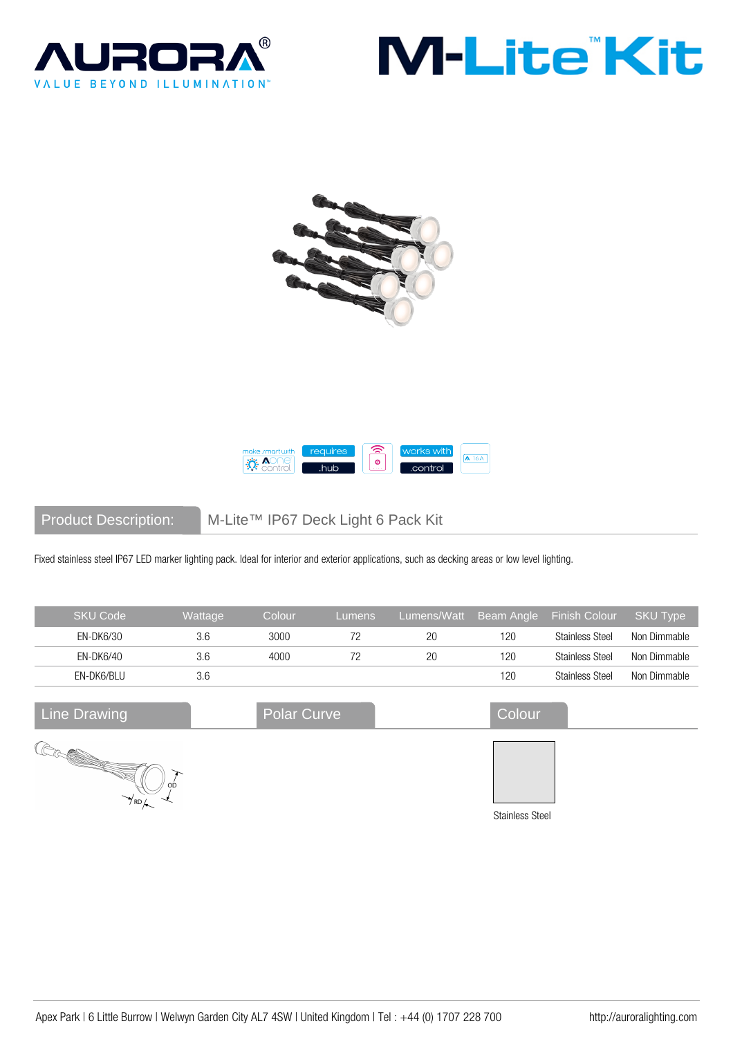







Product Description: M-Lite™ IP67 Deck Light 6 Pack Kit

Fixed stainless steel IP67 LED marker lighting pack. Ideal for interior and exterior applications, such as decking areas or low level lighting.

| <b>SKU Code</b>                                                                                                                               | Wattage | Colour             | Lumens | Lumens/Watt | Beam Angle             | <b>Finish Colour</b>   | <b>SKU Type</b> |
|-----------------------------------------------------------------------------------------------------------------------------------------------|---------|--------------------|--------|-------------|------------------------|------------------------|-----------------|
| EN-DK6/30                                                                                                                                     | 3.6     | 3000               | 72     | 20          | 120                    | <b>Stainless Steel</b> | Non Dimmable    |
| EN-DK6/40                                                                                                                                     | 3.6     | 4000               | 72     | 20          | 120                    | <b>Stainless Steel</b> | Non Dimmable    |
| EN-DK6/BLU                                                                                                                                    | 3.6     |                    |        |             | 120                    | <b>Stainless Steel</b> | Non Dimmable    |
| Line Drawing                                                                                                                                  |         | <b>Polar Curve</b> |        |             | Colour                 |                        |                 |
| e <b>Romando de Santo de Santo de Santo de Santo de Santo de Santo de Santo de Santo de Santo de Santo de Santo de S</b><br>$\gamma_{\rm RD}$ | OD      |                    |        |             |                        |                        |                 |
|                                                                                                                                               |         |                    |        |             | <b>Stainless Steel</b> |                        |                 |